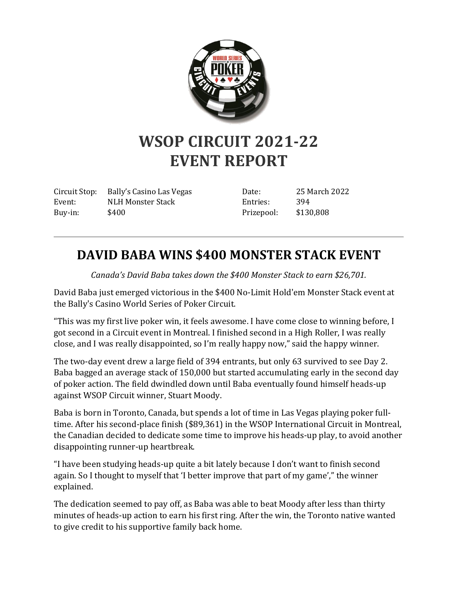

## **WSOP CIRCUIT 2021-22 EVENT REPORT**

Circuit Stop: Bally's Casino Las Vegas Event: NLH Monster Stack Buy-in: \$400

Date: 25 March 2022 Entries: 394 Prizepool: \$130,808

## **DAVID BABA WINS \$400 MONSTER STACK EVENT**

*Canada's David Baba takes down the \$400 Monster Stack to earn \$26,701.*

David Baba just emerged victorious in the \$400 No-Limit Hold'em Monster Stack event at the Bally's Casino World Series of Poker Circuit.

"This was my first live poker win, it feels awesome. I have come close to winning before, I got second in a Circuit event in Montreal. I finished second in a High Roller, I was really close, and I was really disappointed, so I'm really happy now," said the happy winner.

The two-day event drew a large field of 394 entrants, but only 63 survived to see Day 2. Baba bagged an average stack of 150,000 but started accumulating early in the second day of poker action. The field dwindled down until Baba eventually found himself heads-up against WSOP Circuit winner, Stuart Moody.

Baba is born in Toronto, Canada, but spends a lot of time in Las Vegas playing poker fulltime. After his second-place finish (\$89,361) in the WSOP International Circuit in Montreal, the Canadian decided to dedicate some time to improve his heads-up play, to avoid another disappointing runner-up heartbreak.

"I have been studying heads-up quite a bit lately because I don't want to finish second again. So I thought to myself that 'I better improve that part of my game'," the winner explained.

The dedication seemed to pay off, as Baba was able to beat Moody after less than thirty minutes of heads-up action to earn his first ring. After the win, the Toronto native wanted to give credit to his supportive family back home.